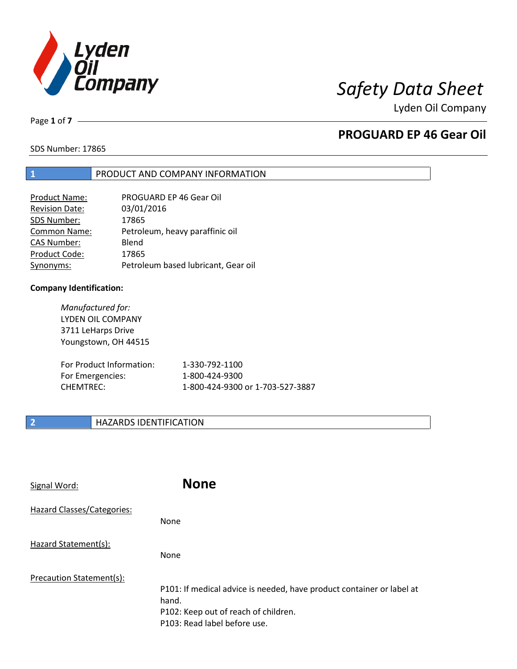

Lyden Oil Company

Page **1** of **7**

# **PROGUARD EP 46 Gear Oil**

SDS Number: 17865

### **1** PRODUCT AND COMPANY INFORMATION

| Product Name:         | PROGUARD EP 46 Gear Oil             |
|-----------------------|-------------------------------------|
| <b>Revision Date:</b> | 03/01/2016                          |
| SDS Number:           | 17865                               |
| <b>Common Name:</b>   | Petroleum, heavy paraffinic oil     |
| <b>CAS Number:</b>    | Blend                               |
| Product Code:         | 17865                               |
| Synonyms:             | Petroleum based lubricant, Gear oil |

### **Company Identification:**

*Manufactured for:* LYDEN OIL COMPANY 3711 LeHarps Drive Youngstown, OH 44515 For Product Information: 1-330-792-1100 For Emergencies: 1-800-424-9300 CHEMTREC: 1-800-424-9300 or 1-703-527-3887

## **2 HAZARDS IDENTIFICATION**

| Signal Word:               | <b>None</b>                                                                                                                                            |
|----------------------------|--------------------------------------------------------------------------------------------------------------------------------------------------------|
| Hazard Classes/Categories: | None                                                                                                                                                   |
| Hazard Statement(s):       | None                                                                                                                                                   |
| Precaution Statement(s):   | P101: If medical advice is needed, have product container or label at<br>hand.<br>P102: Keep out of reach of children.<br>P103: Read label before use. |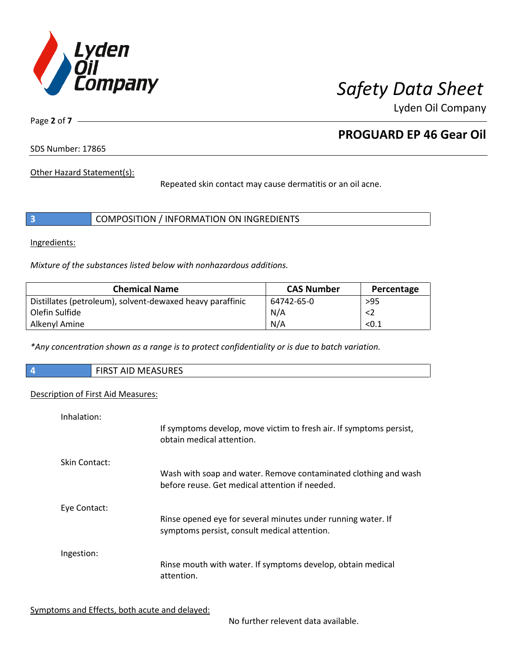

Lyden Oil Company

Page **2** of **7**

# **PROGUARD EP 46 Gear Oil**

SDS Number: 17865

Other Hazard Statement(s):

Repeated skin contact may cause dermatitis or an oil acne.

|  | COMPOSITION / INFORMATION ON INGREDIENTS |
|--|------------------------------------------|
|--|------------------------------------------|

Ingredients:

*Mixture of the substances listed below with nonhazardous additions.*

| <b>Chemical Name</b>                                      | <b>CAS Number</b> | Percentage |
|-----------------------------------------------------------|-------------------|------------|
| Distillates (petroleum), solvent-dewaxed heavy paraffinic | 64742-65-0        | >95        |
| Olefin Sulfide                                            | N/A               | <2         |
| Alkenyl Amine                                             | N/A               | < 0.1      |

*\*Any concentration shown as a range is to protect confidentiality or is due to batch variation.*

| $\vert$ 4 | FIRST AID MEASURES |
|-----------|--------------------|
|           |                    |

### Description of First Aid Measures:

| Inhalation:   | If symptoms develop, move victim to fresh air. If symptoms persist,<br>obtain medical attention.                  |
|---------------|-------------------------------------------------------------------------------------------------------------------|
| Skin Contact: | Wash with soap and water. Remove contaminated clothing and wash<br>before reuse. Get medical attention if needed. |
| Eye Contact:  | Rinse opened eye for several minutes under running water. If<br>symptoms persist, consult medical attention.      |
| Ingestion:    | Rinse mouth with water. If symptoms develop, obtain medical<br>attention.                                         |

Symptoms and Effects, both acute and delayed:

No further relevent data available.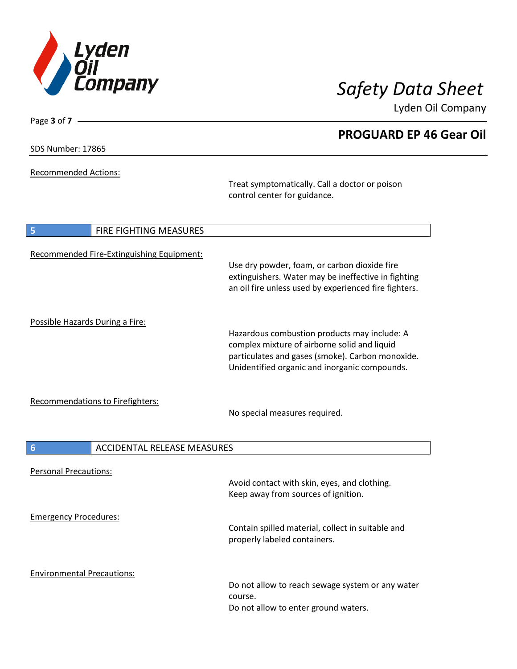

Lyden Oil Company

Page **3** of **7**

Recommended Actions:

Treat symptomatically. Call a doctor or poison control center for guidance.

| <b>FIRE FIGHTING MEASURES</b><br>5                    |                                                                                                                                                                                                   |
|-------------------------------------------------------|---------------------------------------------------------------------------------------------------------------------------------------------------------------------------------------------------|
| Recommended Fire-Extinguishing Equipment:             | Use dry powder, foam, or carbon dioxide fire<br>extinguishers. Water may be ineffective in fighting<br>an oil fire unless used by experienced fire fighters.                                      |
| Possible Hazards During a Fire:                       | Hazardous combustion products may include: A<br>complex mixture of airborne solid and liquid<br>particulates and gases (smoke). Carbon monoxide.<br>Unidentified organic and inorganic compounds. |
| <b>Recommendations to Firefighters:</b>               | No special measures required.                                                                                                                                                                     |
| $6\phantom{1}6$<br><b>ACCIDENTAL RELEASE MEASURES</b> |                                                                                                                                                                                                   |
| <b>Personal Precautions:</b>                          | Avoid contact with skin, eyes, and clothing.<br>Keep away from sources of ignition.                                                                                                               |
| <b>Emergency Procedures:</b>                          | Contain spilled material, collect in suitable and<br>properly labeled containers.                                                                                                                 |
| <b>Environmental Precautions:</b>                     | Do not allow to reach sewage system or any water<br>course.<br>Do not allow to enter ground waters.                                                                                               |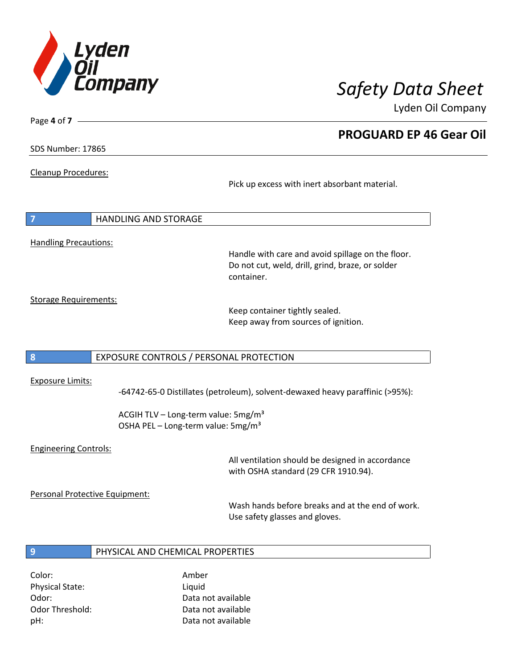

Lyden Oil Company

SDS Number: 17865

Page **4** of **7**

Cleanup Procedures:

Pick up excess with inert absorbant material.

| $\overline{7}$               | I HANDLING AND STORAGE |
|------------------------------|------------------------|
|                              |                        |
| <b>Handling Precautions:</b> |                        |

Handle with care and avoid spillage on the floor. Do not cut, weld, drill, grind, braze, or solder container.

Storage Requirements:

Keep container tightly sealed. Keep away from sources of ignition.

### **8** EXPOSURE CONTROLS / PERSONAL PROTECTION

### Exposure Limits:

-64742-65-0 Distillates (petroleum), solvent-dewaxed heavy paraffinic (>95%):

ACGIH TLV – Long-term value:  $5mg/m<sup>3</sup>$ OSHA PEL - Long-term value: 5mg/m<sup>3</sup>

### Engineering Controls:

All ventilation should be designed in accordance with OSHA standard (29 CFR 1910.94).

Personal Protective Equipment:

Wash hands before breaks and at the end of work. Use safety glasses and gloves.

### **9** PHYSICAL AND CHEMICAL PROPERTIES

Color: Amber Physical State: Liquid

Odor: Data not available Odor Threshold: Data not available pH: Data not available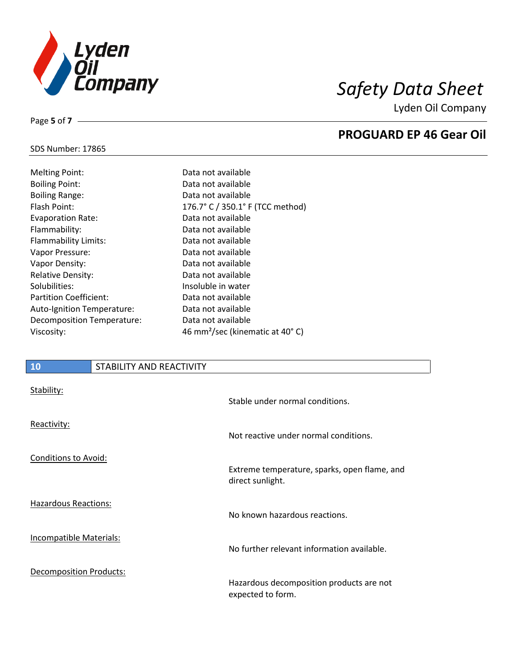

Lyden Oil Company

## SDS Number: 17865

Page **5** of **7**

| Data not available                          |
|---------------------------------------------|
| Data not available                          |
| Data not available                          |
| 176.7° C / 350.1° F (TCC method)            |
| Data not available                          |
| Data not available                          |
| Data not available                          |
| Data not available                          |
| Data not available                          |
| Data not available                          |
| Insoluble in water                          |
| Data not available                          |
| Data not available                          |
| Data not available                          |
| 46 mm <sup>2</sup> /sec (kinematic at 40°C) |
|                                             |

### **10** STABILITY AND REACTIVITY

| Stability:                  | Stable under normal conditions.                               |
|-----------------------------|---------------------------------------------------------------|
| Reactivity:                 | Not reactive under normal conditions.                         |
| <b>Conditions to Avoid:</b> | Extreme temperature, sparks, open flame, and                  |
|                             | direct sunlight.                                              |
| <b>Hazardous Reactions:</b> | No known hazardous reactions.                                 |
| Incompatible Materials:     | No further relevant information available.                    |
| Decomposition Products:     | Hazardous decomposition products are not<br>expected to form. |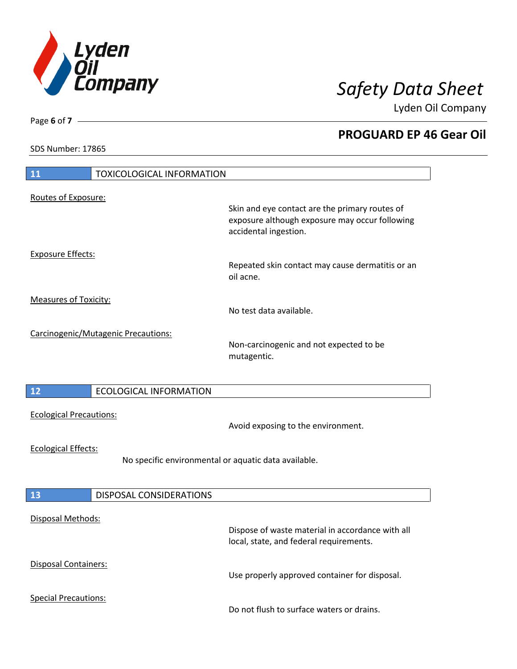

Lyden Oil Company

SDS Number: 17865

Page **6** of **7**

| 11<br><b>TOXICOLOGICAL INFORMATION</b>                                             |                                                                                                                           |
|------------------------------------------------------------------------------------|---------------------------------------------------------------------------------------------------------------------------|
| Routes of Exposure:                                                                |                                                                                                                           |
|                                                                                    | Skin and eye contact are the primary routes of<br>exposure although exposure may occur following<br>accidental ingestion. |
| <b>Exposure Effects:</b>                                                           | Repeated skin contact may cause dermatitis or an<br>oil acne.                                                             |
| <b>Measures of Toxicity:</b>                                                       | No test data available.                                                                                                   |
| Carcinogenic/Mutagenic Precautions:                                                | Non-carcinogenic and not expected to be<br>mutagentic.                                                                    |
| 12<br><b>ECOLOGICAL INFORMATION</b>                                                |                                                                                                                           |
| <b>Ecological Precautions:</b>                                                     | Avoid exposing to the environment.                                                                                        |
| <b>Ecological Effects:</b><br>No specific environmental or aquatic data available. |                                                                                                                           |
| <b>13</b><br>DISPOSAL CONSIDERATIONS                                               |                                                                                                                           |
| Disposal Methods:                                                                  | Dispose of waste material in accordance with all<br>local, state, and federal requirements.                               |
| Disposal Containers:                                                               | Use properly approved container for disposal.                                                                             |
| <b>Special Precautions:</b>                                                        | Do not flush to surface waters or drains.                                                                                 |